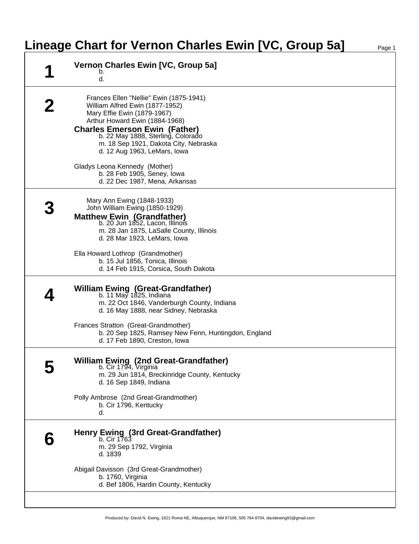## **Lineage Chart for Vernon Charles Ewin [VC, Group 5a]** Page 1

|   | Vernon Charles Ewin [VC, Group 5a]<br>b.<br>d.                                                                                                                                                                                                                                                     |
|---|----------------------------------------------------------------------------------------------------------------------------------------------------------------------------------------------------------------------------------------------------------------------------------------------------|
|   | Frances Ellen "Nellie" Ewin (1875-1941)<br>William Alfred Ewin (1877-1952)<br>Mary Effie Ewin (1879-1967)<br>Arthur Howard Ewin (1884-1968)<br><b>Charles Emerson Ewin (Father)</b><br>b. 22 May 1888, Sterling, Colorado<br>m. 18 Sep 1921, Dakota City, Nebraska<br>d. 12 Aug 1963, LeMars, Iowa |
|   | Gladys Leona Kennedy (Mother)<br>b. 28 Feb 1905, Seney, Iowa<br>d. 22 Dec 1987, Mena, Arkansas                                                                                                                                                                                                     |
|   | Mary Ann Ewing (1848-1933)<br>John William Ewing (1850-1929)<br><b>Matthew Ewin (Grandfather)</b><br>b. 20 Jun 1852, Lacon, Illinois<br>m. 28 Jan 1875, LaSalle County, Illinois<br>d. 28 Mar 1923, LeMars, Iowa                                                                                   |
|   | Ella Howard Lothrop (Grandmother)<br>b. 15 Jul 1856, Tonica, Illinois<br>d. 14 Feb 1915, Corsica, South Dakota                                                                                                                                                                                     |
|   | <b>William Ewing (Great-Grandfather)</b><br>b. 11 May 1825, Indiana<br>m. 22 Oct 1846, Vanderburgh County, Indiana<br>d. 16 May 1888, near Sidney, Nebraska                                                                                                                                        |
|   | Frances Stratton (Great-Grandmother)<br>b. 20 Sep 1825, Ramsey New Fenn, Huntingdon, England<br>d. 17 Feb 1890, Creston, Iowa                                                                                                                                                                      |
|   | <b>William Ewing (2nd Great-Grandfather)</b><br>b. Cir 1794, Virginia<br>m. 29 Jun 1814, Breckinridge County, Kentucky<br>d. 16 Sep 1849, Indiana                                                                                                                                                  |
|   | Polly Ambrose (2nd Great-Grandmother)<br>b. Cir 1796, Kentucky<br>d.                                                                                                                                                                                                                               |
| b | Henry Ewing (3rd Great-Grandfather)<br>m. 29 Sep 1792, Virginia<br>d. 1839                                                                                                                                                                                                                         |
|   | Abigail Davisson (3rd Great-Grandmother)<br>b. 1760, Virginia<br>d. Bef 1806, Hardin County, Kentucky                                                                                                                                                                                              |
|   |                                                                                                                                                                                                                                                                                                    |